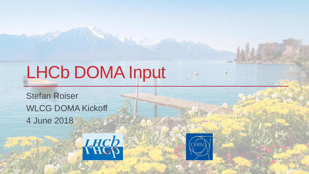# LHCb DOMA Input

Stefan Roiser WLCG DOMA Kickoff 4 June 2018



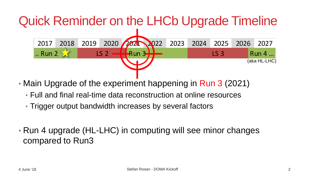# Quick Reminder on the LHCb Upgrade Timeline



- Main Upgrade of the experiment happening in Run 3 (2021)
	- Full and final real-time data reconstruction at online resources
	- Trigger output bandwidth increases by several factors
- Run 4 upgrade (HL-LHC) in computing will see minor changes compared to Run3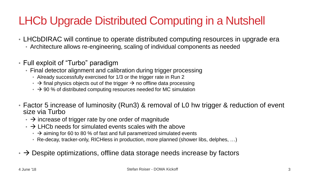### LHCb Upgrade Distributed Computing in a Nutshell

- LHCbDIRAC will continue to operate distributed computing resources in upgrade era
	- Architecture allows re-engineering, scaling of individual components as needed
- Full exploit of "Turbo" paradigm
	- Final detector alignment and calibration during trigger processing
		- Already successfully exercised for 1/3 or the trigger rate in Run 2
		- $\cdot$   $\rightarrow$  final physics objects out of the trigger  $\rightarrow$  no offline data processing
		- $\cdot$   $\rightarrow$  90 % of distributed computing resources needed for MC simulation
- Factor 5 increase of luminosity (Run3) & removal of L0 hw trigger & reduction of event size via Turbo
	- $\cdot$   $\rightarrow$  increase of trigger rate by one order of magnitude
	- $\rightarrow$  LHCb needs for simulated events scales with the above
		- $\cdot$   $\rightarrow$  aiming for 60 to 80 % of fast and full parametrized simulated events
		- Re-decay, tracker-only, RICHless in production, more planned (shower libs, delphes, …)
- $\cdot$   $\rightarrow$  Despite optimizations, offline data storage needs increase by factors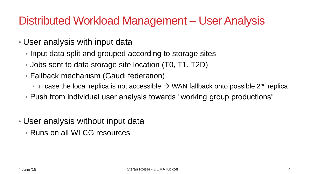#### Distributed Workload Management – User Analysis

- User analysis with input data
	- Input data split and grouped according to storage sites
	- Jobs sent to data storage site location (T0, T1, T2D)
	- Fallback mechanism (Gaudi federation)
		- In case the local replica is not accessible  $\rightarrow$  WAN fallback onto possible 2<sup>nd</sup> replica
	- Push from individual user analysis towards "working group productions"
- User analysis without input data
	- Runs on all WLCG resources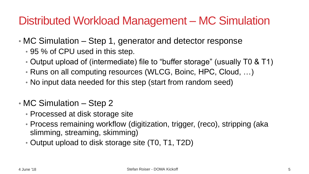#### Distributed Workload Management – MC Simulation

- MC Simulation Step 1, generator and detector response
	- 95 % of CPU used in this step.
	- Output upload of (intermediate) file to "buffer storage" (usually T0 & T1)
	- Runs on all computing resources (WLCG, Boinc, HPC, Cloud, …)
	- No input data needed for this step (start from random seed)
- MC Simulation Step 2
	- Processed at disk storage site
	- Process remaining workflow (digitization, trigger, (reco), stripping (aka slimming, streaming, skimming)
	- Output upload to disk storage site (T0, T1, T2D)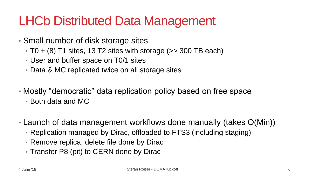# LHCb Distributed Data Management

- Small number of disk storage sites
	- $\cdot$  T0 + (8) T1 sites, 13 T2 sites with storage ( $>$  300 TB each)
	- User and buffer space on T0/1 sites
	- Data & MC replicated twice on all storage sites
- Mostly "democratic" data replication policy based on free space
	- Both data and MC
- Launch of data management workflows done manually (takes O(Min))
	- Replication managed by Dirac, offloaded to FTS3 (including staging)
	- Remove replica, delete file done by Dirac
	- Transfer P8 (pit) to CERN done by Dirac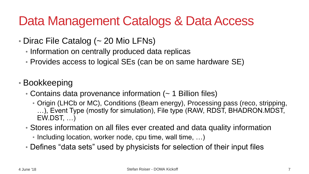# Data Management Catalogs & Data Access

- Dirac File Catalog (~ 20 Mio LFNs)
	- Information on centrally produced data replicas
	- Provides access to logical SEs (can be on same hardware SE)
- Bookkeeping
	- Contains data provenance information (~ 1 Billion files)
		- Origin (LHCb or MC), Conditions (Beam energy), Processing pass (reco, stripping, …), Event Type (mostly for simulation), File type (RAW, RDST, BHADRON.MDST, EW.DST, …)
	- Stores information on all files ever created and data quality information
		- Including location, worker node, cpu time, wall time, ...)
	- Defines "data sets" used by physicists for selection of their input files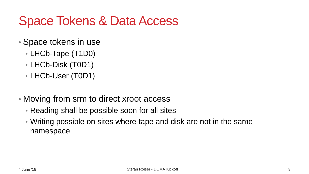# Space Tokens & Data Access

- Space tokens in use
	- LHCb-Tape (T1D0)
	- LHCb-Disk (T0D1)
	- LHCb-User (T0D1)
- Moving from srm to direct xroot access
	- Reading shall be possible soon for all sites
	- Writing possible on sites where tape and disk are not in the same namespace